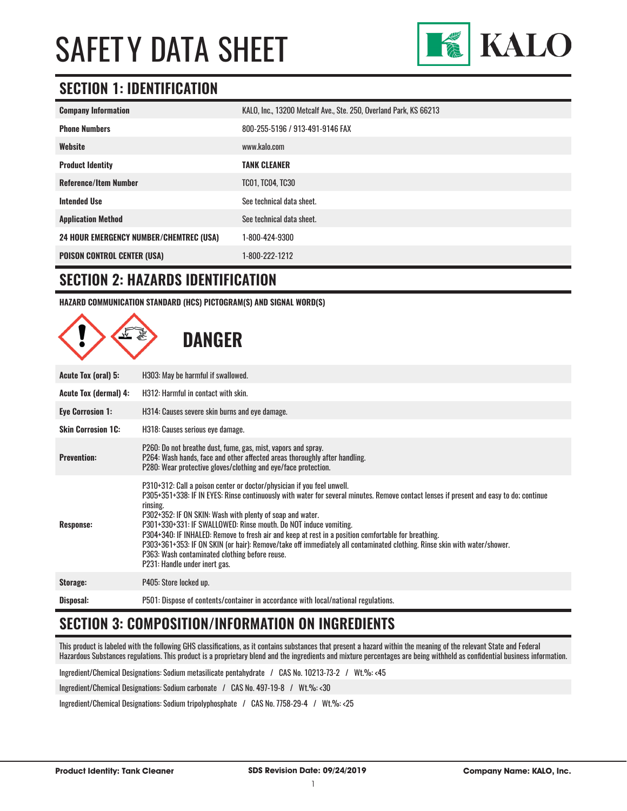

### **SECTION 1: IDENTIFICATION**

| <b>Company Information</b>                     | KALO, Inc., 13200 Metcalf Ave., Ste. 250, Overland Park, KS 66213 |
|------------------------------------------------|-------------------------------------------------------------------|
| <b>Phone Numbers</b>                           | 800-255-5196 / 913-491-9146 FAX                                   |
| Website                                        | www.kalo.com                                                      |
| <b>Product Identity</b>                        | <b>TANK CLEANER</b>                                               |
| <b>Reference/Item Number</b>                   | <b>TC01, TC04, TC30</b>                                           |
| <b>Intended Use</b>                            | See technical data sheet.                                         |
| <b>Application Method</b>                      | See technical data sheet.                                         |
| <b>24 HOUR EMERGENCY NUMBER/CHEMTREC (USA)</b> | 1-800-424-9300                                                    |
| <b>POISON CONTROL CENTER (USA)</b>             | 1-800-222-1212                                                    |

#### **SECTION 2: HAZARDS IDENTIFICATION**

**HAZARD COMMUNICATION STANDARD (HCS) PICTOGRAM(S) AND SIGNAL WORD(S)**

|                              | <b>DANGER</b>                                                                                                                                                                                                                                                                                                                                                                                                                                                                                                                                                                                                                                                                       |
|------------------------------|-------------------------------------------------------------------------------------------------------------------------------------------------------------------------------------------------------------------------------------------------------------------------------------------------------------------------------------------------------------------------------------------------------------------------------------------------------------------------------------------------------------------------------------------------------------------------------------------------------------------------------------------------------------------------------------|
| Acute Tox (oral) 5:          | H303: May be harmful if swallowed.                                                                                                                                                                                                                                                                                                                                                                                                                                                                                                                                                                                                                                                  |
| <b>Acute Tox (dermal) 4:</b> | H312: Harmful in contact with skin.                                                                                                                                                                                                                                                                                                                                                                                                                                                                                                                                                                                                                                                 |
| <b>Eye Corrosion 1:</b>      | H314: Causes severe skin burns and eye damage.                                                                                                                                                                                                                                                                                                                                                                                                                                                                                                                                                                                                                                      |
| <b>Skin Corrosion 1C:</b>    | H318: Causes serious eye damage.                                                                                                                                                                                                                                                                                                                                                                                                                                                                                                                                                                                                                                                    |
| <b>Prevention:</b>           | P260: Do not breathe dust, fume, gas, mist, vapors and spray.<br>P264: Wash hands, face and other affected areas thoroughly after handling.<br>P280: Wear protective gloves/clothing and eye/face protection.                                                                                                                                                                                                                                                                                                                                                                                                                                                                       |
| <b>Response:</b>             | P310+312: Call a poison center or doctor/physician if you feel unwell.<br>P305+351+338: IF IN EYES: Rinse continuously with water for several minutes. Remove contact lenses if present and easy to do; continue<br>rinsing.<br>P302+352: IF ON SKIN: Wash with plenty of soap and water.<br>P301+330+331: IF SWALLOWED: Rinse mouth. Do NOT induce vomiting.<br>P304+340: IF INHALED: Remove to fresh air and keep at rest in a position comfortable for breathing.<br>P303+361+353: IF ON SKIN (or hair): Remove/take off immediately all contaminated clothing. Rinse skin with water/shower.<br>P363: Wash contaminated clothing before reuse.<br>P231: Handle under inert gas. |
| Storage:                     | P405: Store locked up.                                                                                                                                                                                                                                                                                                                                                                                                                                                                                                                                                                                                                                                              |
| Disposal:                    | P501: Dispose of contents/container in accordance with local/national regulations.                                                                                                                                                                                                                                                                                                                                                                                                                                                                                                                                                                                                  |

# **SECTION 3: COMPOSITION/INFORMATION ON INGREDIENTS**

This product is labeled with the following GHS classifications, as it contains substances that present a hazard within the meaning of the relevant State and Federal Hazardous Substances regulations. This product is a proprietary blend and the ingredients and mixture percentages are being withheld as confidential business information.

Ingredient/Chemical Designations: Sodium metasilicate pentahydrate / CAS No. 10213-73-2 / Wt.%: <45

Ingredient/Chemical Designations: Sodium carbonate / CAS No. 497-19-8 / Wt.%: <30

Ingredient/Chemical Designations: Sodium tripolyphosphate / CAS No. 7758-29-4 / Wt.%: <25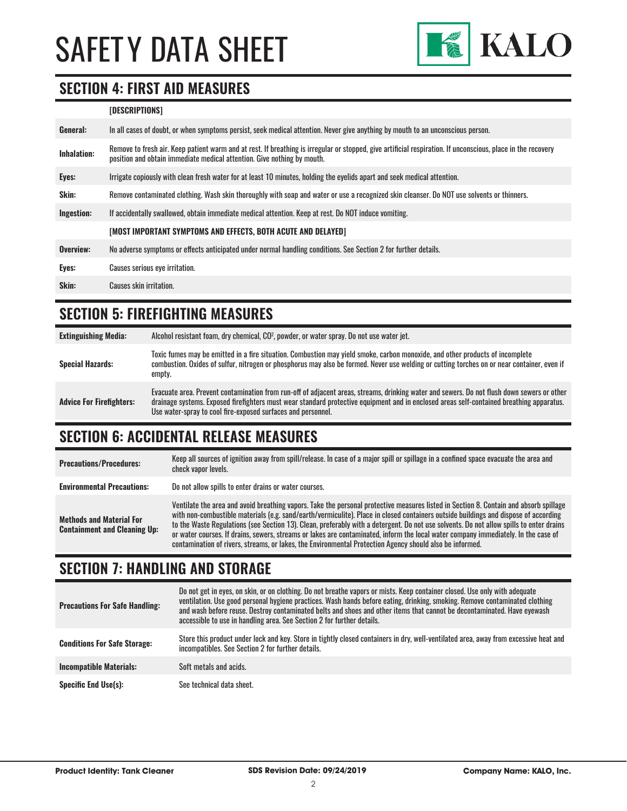

#### **SECTION 4: FIRST AID MEASURES**

#### **[DESCRIPTIONS]**

| In all cases of doubt, or when symptoms persist, seek medical attention. Never give anything by mouth to an unconscious person.                                                                                                         |
|-----------------------------------------------------------------------------------------------------------------------------------------------------------------------------------------------------------------------------------------|
| Remove to fresh air. Keep patient warm and at rest. If breathing is irregular or stopped, give artificial respiration. If unconscious, place in the recovery<br>position and obtain immediate medical attention. Give nothing by mouth. |
| Irrigate copiously with clean fresh water for at least 10 minutes, holding the eyelids apart and seek medical attention.                                                                                                                |
| Remove contaminated clothing. Wash skin thoroughly with soap and water or use a recognized skin cleanser. Do NOT use solvents or thinners.                                                                                              |
| If accidentally swallowed, obtain immediate medical attention. Keep at rest. Do NOT induce vomiting.                                                                                                                                    |
| [MOST IMPORTANT SYMPTOMS AND EFFECTS, BOTH ACUTE AND DELAYED]                                                                                                                                                                           |
| No adverse symptoms or effects anticipated under normal handling conditions. See Section 2 for further details.                                                                                                                         |
| Causes serious eye irritation.                                                                                                                                                                                                          |
| <b>Causes skin irritation.</b>                                                                                                                                                                                                          |
|                                                                                                                                                                                                                                         |

### **SECTION 5: FIREFIGHTING MEASURES**

| <b>Extinguishing Media:</b>     | Alcohol resistant foam, dry chemical, CO <sup>2</sup> , powder, or water spray. Do not use water jet.                                                                                                                                                                                                                                                  |
|---------------------------------|--------------------------------------------------------------------------------------------------------------------------------------------------------------------------------------------------------------------------------------------------------------------------------------------------------------------------------------------------------|
| <b>Special Hazards:</b>         | Toxic fumes may be emitted in a fire situation. Combustion may yield smoke, carbon monoxide, and other products of incomplete<br>combustion. Oxides of sulfur, nitrogen or phosphorus may also be formed. Never use welding or cutting torches on or near container, even if<br>empty.                                                                 |
| <b>Advice For Firefighters:</b> | Evacuate area. Prevent contamination from run-off of adjacent areas, streams, drinking water and sewers. Do not flush down sewers or other<br>drainage systems. Exposed firefighters must wear standard protective equipment and in enclosed areas self-contained breathing apparatus.<br>Use water-spray to cool fire-exposed surfaces and personnel. |

# **SECTION 6: ACCIDENTAL RELEASE MEASURES**

| <b>Precautions/Procedures:</b>                                         | Keep all sources of ignition away from spill/release. In case of a major spill or spillage in a confined space evacuate the area and<br>check vapor levels.                                                                                                                                                                                                                                                                                                                                                                                                                                                                                                               |
|------------------------------------------------------------------------|---------------------------------------------------------------------------------------------------------------------------------------------------------------------------------------------------------------------------------------------------------------------------------------------------------------------------------------------------------------------------------------------------------------------------------------------------------------------------------------------------------------------------------------------------------------------------------------------------------------------------------------------------------------------------|
| <b>Environmental Precautions:</b>                                      | Do not allow spills to enter drains or water courses.                                                                                                                                                                                                                                                                                                                                                                                                                                                                                                                                                                                                                     |
| <b>Methods and Material For</b><br><b>Containment and Cleaning Up:</b> | Ventilate the area and avoid breathing vapors. Take the personal protective measures listed in Section 8. Contain and absorb spillage<br>with non-combustible materials (e.g. sand/earth/vermiculite). Place in closed containers outside buildings and dispose of according<br>to the Waste Regulations (see Section 13). Clean, preferably with a detergent. Do not use solvents. Do not allow spills to enter drains<br>or water courses. If drains, sewers, streams or lakes are contaminated, inform the local water company immediately. In the case of<br>contamination of rivers, streams, or lakes, the Environmental Protection Agency should also be informed. |

### **SECTION 7: HANDLING AND STORAGE**

| <b>Precautions For Safe Handling:</b> | Do not get in eyes, on skin, or on clothing. Do not breathe vapors or mists. Keep container closed. Use only with adequate<br>ventilation. Use good personal hygiene practices. Wash hands before eating, drinking, smoking. Remove contaminated clothing<br>and wash before reuse. Destroy contaminated belts and shoes and other items that cannot be decontaminated. Have evewash<br>accessible to use in handling area. See Section 2 for further details. |
|---------------------------------------|----------------------------------------------------------------------------------------------------------------------------------------------------------------------------------------------------------------------------------------------------------------------------------------------------------------------------------------------------------------------------------------------------------------------------------------------------------------|
| <b>Conditions For Safe Storage:</b>   | Store this product under lock and key. Store in tightly closed containers in dry, well-ventilated area, away from excessive heat and<br>incompatibles. See Section 2 for further details.                                                                                                                                                                                                                                                                      |
| <b>Incompatible Materials:</b>        | Soft metals and acids.                                                                                                                                                                                                                                                                                                                                                                                                                                         |
| <b>Specific End Use(s):</b>           | See technical data sheet.                                                                                                                                                                                                                                                                                                                                                                                                                                      |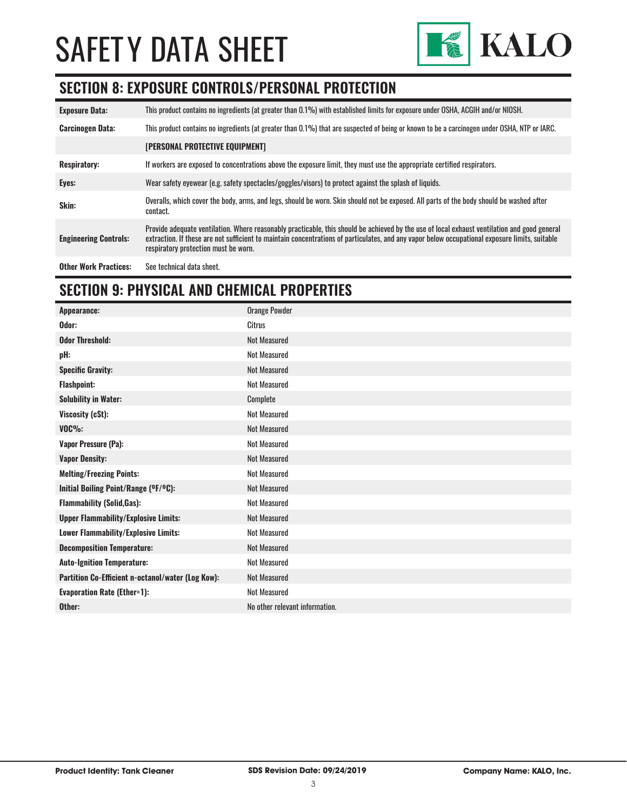

### **SECTION 8: EXPOSURE CONTROLS/PERSONAL PROTECTION**

| <b>Exposure Data:</b>        | This product contains no ingredients (at greater than 0.1%) with established limits for exposure under OSHA, ACGIH and/or NIOSH.                                                                                                                                                                                                       |
|------------------------------|----------------------------------------------------------------------------------------------------------------------------------------------------------------------------------------------------------------------------------------------------------------------------------------------------------------------------------------|
| <b>Carcinogen Data:</b>      | This product contains no ingredients (at greater than 0.1%) that are suspected of being or known to be a carcinogen under OSHA, NTP or IARC.                                                                                                                                                                                           |
|                              | <b>[PERSONAL PROTECTIVE EQUIPMENT]</b>                                                                                                                                                                                                                                                                                                 |
| <b>Respiratory:</b>          | If workers are exposed to concentrations above the exposure limit, they must use the appropriate certified respirators.                                                                                                                                                                                                                |
| Eyes:                        | Wear safety eyewear (e.g. safety spectacles/goggles/visors) to protect against the splash of liquids.                                                                                                                                                                                                                                  |
| Skin:                        | Overalls, which cover the body, arms, and legs, should be worn. Skin should not be exposed. All parts of the body should be washed after<br>contact.                                                                                                                                                                                   |
| <b>Engineering Controls:</b> | Provide adequate ventilation. Where reasonably practicable, this should be achieved by the use of local exhaust ventilation and good general<br>extraction. If these are not sufficient to maintain concentrations of particulates, and any vapor below occupational exposure limits, suitable<br>respiratory protection must be worn. |
| <b>Other Work Practices:</b> | See technical data sheet.                                                                                                                                                                                                                                                                                                              |

# **SECTION 9: PHYSICAL AND CHEMICAL PROPERTIES**

| Appearance:                                       | <b>Orange Powder</b>           |
|---------------------------------------------------|--------------------------------|
| Odor:                                             | <b>Citrus</b>                  |
| <b>Odor Threshold:</b>                            | <b>Not Measured</b>            |
| pH:                                               | <b>Not Measured</b>            |
| <b>Specific Gravity:</b>                          | <b>Not Measured</b>            |
| <b>Flashpoint:</b>                                | <b>Not Measured</b>            |
| <b>Solubility in Water:</b>                       | Complete                       |
| Viscosity (cSt):                                  | <b>Not Measured</b>            |
| $VOC\%$ :                                         | <b>Not Measured</b>            |
| <b>Vapor Pressure (Pa):</b>                       | <b>Not Measured</b>            |
| <b>Vapor Density:</b>                             | <b>Not Measured</b>            |
| <b>Melting/Freezing Points:</b>                   | <b>Not Measured</b>            |
| Initial Boiling Point/Range (OF/OC):              | Not Measured                   |
| <b>Flammability (Solid, Gas):</b>                 | <b>Not Measured</b>            |
| <b>Upper Flammability/Explosive Limits:</b>       | Not Measured                   |
| Lower Flammability/Explosive Limits:              | <b>Not Measured</b>            |
| <b>Decomposition Temperature:</b>                 | <b>Not Measured</b>            |
| <b>Auto-Ignition Temperature:</b>                 | <b>Not Measured</b>            |
| Partition Co-Efficient n-octanol/water (Log Kow): | <b>Not Measured</b>            |
| <b>Evaporation Rate (Ether=1):</b>                | <b>Not Measured</b>            |
| Other:                                            | No other relevant information. |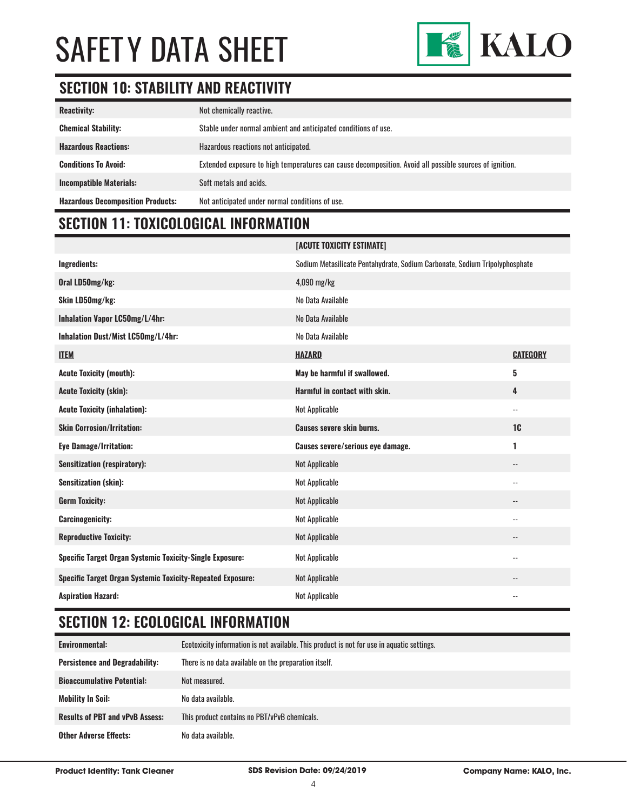

# **SECTION 10: STABILITY AND REACTIVITY**

| <b>Reactivity:</b>                       | Not chemically reactive.                                                                                |
|------------------------------------------|---------------------------------------------------------------------------------------------------------|
| <b>Chemical Stability:</b>               | Stable under normal ambient and anticipated conditions of use.                                          |
| <b>Hazardous Reactions:</b>              | Hazardous reactions not anticipated.                                                                    |
| <b>Conditions To Avoid:</b>              | Extended exposure to high temperatures can cause decomposition. Avoid all possible sources of ignition. |
| <b>Incompatible Materials:</b>           | Soft metals and acids.                                                                                  |
| <b>Hazardous Decomposition Products:</b> | Not anticipated under normal conditions of use.                                                         |

# **SECTION 11: TOXICOLOGICAL INFORMATION**

|                                                                   | [ACUTE TOXICITY ESTIMATE]                                                   |                            |
|-------------------------------------------------------------------|-----------------------------------------------------------------------------|----------------------------|
| Ingredients:                                                      | Sodium Metasilicate Pentahydrate, Sodium Carbonate, Sodium Tripolyphosphate |                            |
| Oral LD50mg/kg:                                                   | $4,090$ mg/kg                                                               |                            |
| Skin LD50mg/kg:                                                   | No Data Available                                                           |                            |
| Inhalation Vapor LC50mg/L/4hr:                                    | No Data Available                                                           |                            |
| Inhalation Dust/Mist LC50mg/L/4hr:                                | No Data Available                                                           |                            |
| <b>ITEM</b>                                                       | <b>HAZARD</b>                                                               | <b>CATEGORY</b>            |
| <b>Acute Toxicity (mouth):</b>                                    | May be harmful if swallowed.                                                | 5                          |
| <b>Acute Toxicity (skin):</b>                                     | Harmful in contact with skin.                                               | 4                          |
| <b>Acute Toxicity (inhalation):</b>                               | <b>Not Applicable</b>                                                       | $\overline{\phantom{a}}$ . |
| <b>Skin Corrosion/Irritation:</b>                                 | <b>Causes severe skin burns.</b>                                            | 1 <sub>C</sub>             |
| <b>Eye Damage/Irritation:</b>                                     | Causes severe/serious eye damage.                                           | 1                          |
| <b>Sensitization (respiratory):</b>                               | <b>Not Applicable</b>                                                       | $\overline{\phantom{a}}$   |
| Sensitization (skin):                                             | <b>Not Applicable</b>                                                       | $\overline{\phantom{a}}$   |
| <b>Germ Toxicity:</b>                                             | <b>Not Applicable</b>                                                       | $\overline{\phantom{a}}$   |
| <b>Carcinogenicity:</b>                                           | <b>Not Applicable</b>                                                       | $\overline{\phantom{a}}$   |
| <b>Reproductive Toxicity:</b>                                     | <b>Not Applicable</b>                                                       | $\overline{\phantom{a}}$   |
| Specific Target Organ Systemic Toxicity-Single Exposure:          | <b>Not Applicable</b>                                                       | $\overline{\phantom{a}}$ . |
| <b>Specific Target Organ Systemic Toxicity-Repeated Exposure:</b> | <b>Not Applicable</b>                                                       |                            |
| <b>Aspiration Hazard:</b>                                         | <b>Not Applicable</b>                                                       | $-$                        |

# **SECTION 12: ECOLOGICAL INFORMATION**

| Environmental:                         | Ecotoxicity information is not available. This product is not for use in aquatic settings. |
|----------------------------------------|--------------------------------------------------------------------------------------------|
| <b>Persistence and Degradability:</b>  | There is no data available on the preparation itself.                                      |
| <b>Bioaccumulative Potential:</b>      | Not measured.                                                                              |
| <b>Mobility In Soil:</b>               | No data available.                                                                         |
| <b>Results of PBT and vPvB Assess:</b> | This product contains no PBT/vPvB chemicals.                                               |
| <b>Other Adverse Effects:</b>          | No data available.                                                                         |